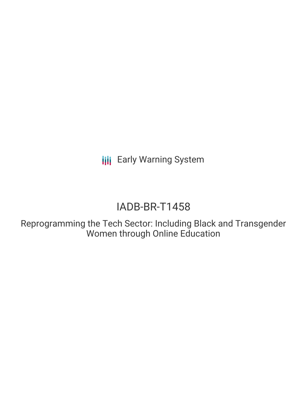**III** Early Warning System

# IADB-BR-T1458

Reprogramming the Tech Sector: Including Black and Transgender Women through Online Education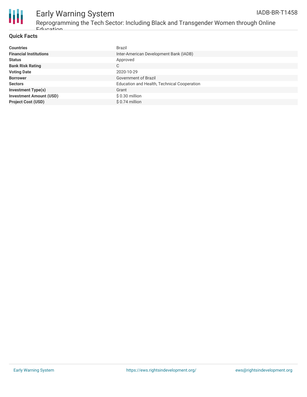



## Early Warning System

Reprogramming the Tech Sector: Including Black and Transgender Women through Online Education

### **Quick Facts**

| <b>Countries</b>               | <b>Brazil</b>                               |
|--------------------------------|---------------------------------------------|
| <b>Financial Institutions</b>  | Inter-American Development Bank (IADB)      |
| <b>Status</b>                  | Approved                                    |
| <b>Bank Risk Rating</b>        | С                                           |
| <b>Voting Date</b>             | 2020-10-29                                  |
| <b>Borrower</b>                | Government of Brazil                        |
| <b>Sectors</b>                 | Education and Health, Technical Cooperation |
| <b>Investment Type(s)</b>      | Grant                                       |
| <b>Investment Amount (USD)</b> | \$0.30 million                              |
| <b>Project Cost (USD)</b>      | $$0.74$ million                             |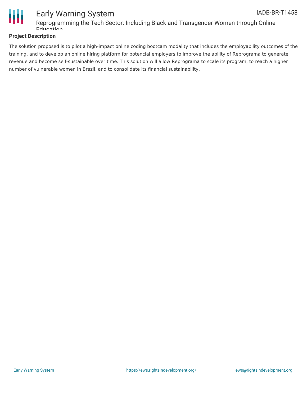

### **Project Description**

The solution proposed is to pilot a high-impact online coding bootcam modality that includes the employability outcomes of the training, and to develop an online hiring platform for potencial employers to improve the ability of Reprograma to generate revenue and become self-sustainable over time. This solution will allow Reprograma to scale its program, to reach a higher number of vulnerable women in Brazil, and to consolidate its financial sustainability.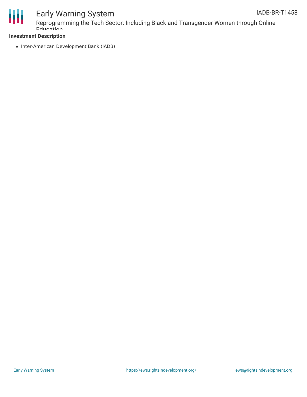

### Early Warning System

### **Investment Description**

• Inter-American Development Bank (IADB)